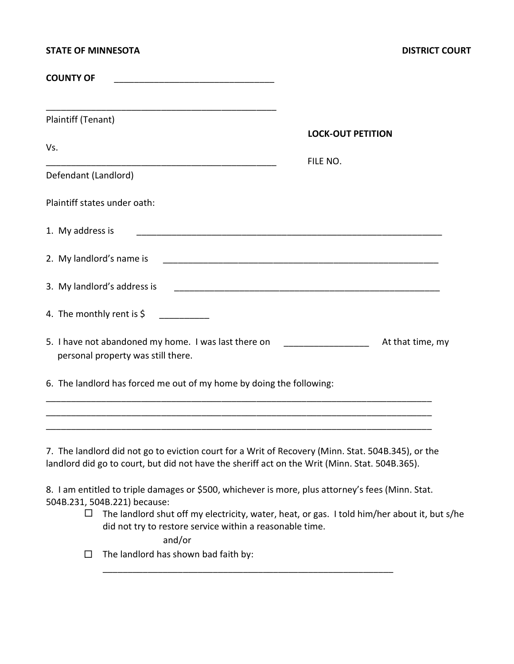| <b>STATE OF MINNESOTA</b>                                                                                                                                                                                                                                            |                          | <b>DISTRICT COURT</b> |
|----------------------------------------------------------------------------------------------------------------------------------------------------------------------------------------------------------------------------------------------------------------------|--------------------------|-----------------------|
| <b>COUNTY OF</b>                                                                                                                                                                                                                                                     |                          |                       |
| <u> 1989 - Johann Harry Harry Harry Harry Harry Harry Harry Harry Harry Harry Harry Harry Harry Harry Harry Harry</u><br>Plaintiff (Tenant)                                                                                                                          | <b>LOCK-OUT PETITION</b> |                       |
| Vs.                                                                                                                                                                                                                                                                  | FILE NO.                 |                       |
| Defendant (Landlord)                                                                                                                                                                                                                                                 |                          |                       |
| Plaintiff states under oath:                                                                                                                                                                                                                                         |                          |                       |
| 1. My address is                                                                                                                                                                                                                                                     |                          |                       |
| 2. My landlord's name is                                                                                                                                                                                                                                             |                          |                       |
| 3. My landlord's address is                                                                                                                                                                                                                                          |                          |                       |
|                                                                                                                                                                                                                                                                      |                          |                       |
| 5. I have not abandoned my home. I was last there on [100] [100] [100] [100] [100] [100] [100] [100] [100] [100] [100] [100] [100] [100] [100] [100] [100] [100] [100] [100] [100] [100] [100] [100] [100] [100] [100] [100] [<br>personal property was still there. |                          | At that time, my      |
| 6. The landlord has forced me out of my home by doing the following:                                                                                                                                                                                                 |                          |                       |
|                                                                                                                                                                                                                                                                      |                          |                       |

7. The landlord did not go to eviction court for a Writ of Recovery (Minn. Stat. 504B.345), or the landlord did go to court, but did not have the sheriff act on the Writ (Minn. Stat. 504B.365).

8. I am entitled to triple damages or \$500, whichever is more, plus attorney's fees (Minn. Stat. 504B.231, 504B.221) because:

\_\_\_\_\_\_\_\_\_\_\_\_\_\_\_\_\_\_\_\_\_\_\_\_\_\_\_\_\_\_\_\_\_\_\_\_\_\_\_\_\_\_\_\_\_\_\_\_\_\_\_\_\_\_\_\_\_\_

 $\Box$  The landlord shut off my electricity, water, heat, or gas. I told him/her about it, but s/he did not try to restore service within a reasonable time.

and/or

 $\Box$  The landlord has shown bad faith by: